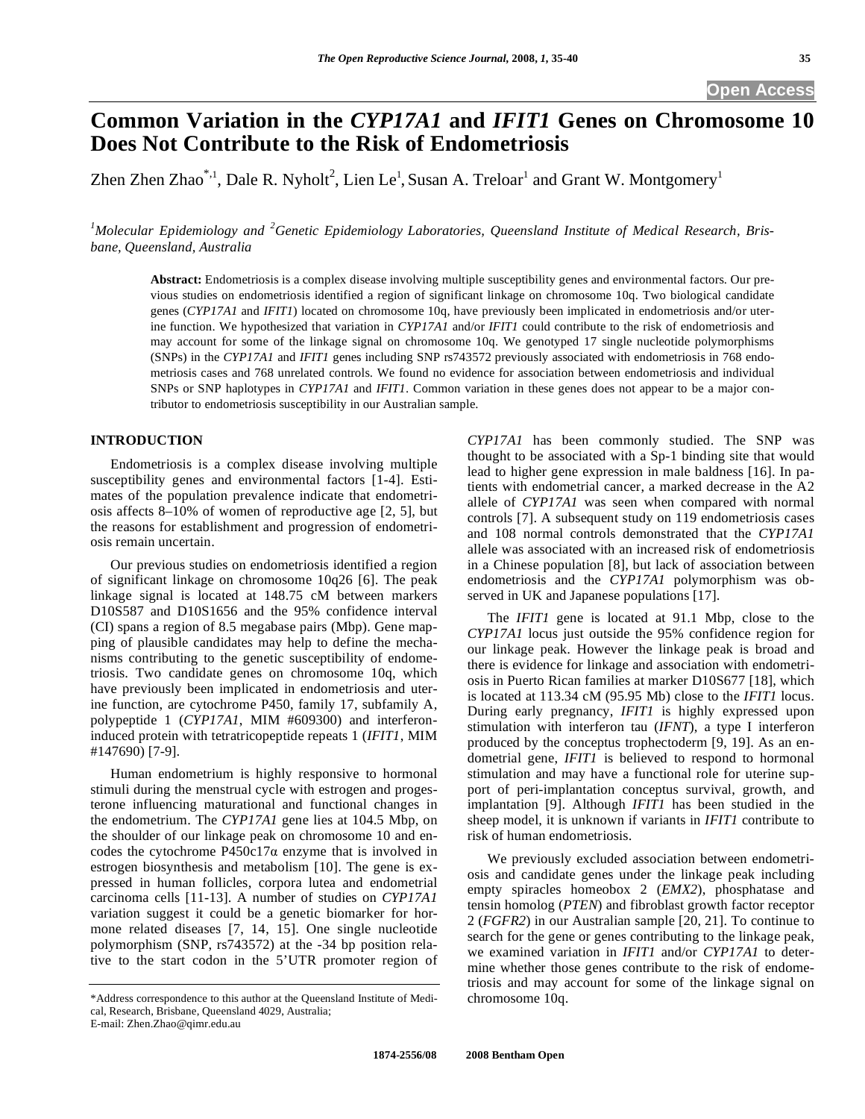# **Common Variation in the** *CYP17A1* **and** *IFIT1* **Genes on Chromosome 10 Does Not Contribute to the Risk of Endometriosis**

Zhen Zhen Zhao\*,<sup>1</sup>, Dale R. Nyholt<sup>2</sup>, Lien Le<sup>1</sup>, Susan A. Treloar<sup>1</sup> and Grant W. Montgomery<sup>1</sup>

<sup>1</sup>Molecular Epidemiology and <sup>2</sup>Genetic Epidemiology Laboratories, Queensland Institute of Medical Research, Bris*bane, Queensland, Australia* 

**Abstract:** Endometriosis is a complex disease involving multiple susceptibility genes and environmental factors. Our previous studies on endometriosis identified a region of significant linkage on chromosome 10q. Two biological candidate genes (*CYP17A1* and *IFIT1*) located on chromosome 10q, have previously been implicated in endometriosis and/or uterine function. We hypothesized that variation in *CYP17A1* and/or *IFIT1* could contribute to the risk of endometriosis and may account for some of the linkage signal on chromosome 10q. We genotyped 17 single nucleotide polymorphisms (SNPs) in the *CYP17A1* and *IFIT1* genes including SNP rs743572 previously associated with endometriosis in 768 endometriosis cases and 768 unrelated controls. We found no evidence for association between endometriosis and individual SNPs or SNP haplotypes in *CYP17A1* and *IFIT1*. Common variation in these genes does not appear to be a major contributor to endometriosis susceptibility in our Australian sample.

# **INTRODUCTION**

 Endometriosis is a complex disease involving multiple susceptibility genes and environmental factors [1-4]. Estimates of the population prevalence indicate that endometriosis affects 8–10% of women of reproductive age [2, 5], but the reasons for establishment and progression of endometriosis remain uncertain.

 Our previous studies on endometriosis identified a region of significant linkage on chromosome 10q26 [6]. The peak linkage signal is located at 148.75 cM between markers D10S587 and D10S1656 and the 95% confidence interval (CI) spans a region of 8.5 megabase pairs (Mbp). Gene mapping of plausible candidates may help to define the mechanisms contributing to the genetic susceptibility of endometriosis. Two candidate genes on chromosome 10q, which have previously been implicated in endometriosis and uterine function, are cytochrome P450, family 17, subfamily A, polypeptide 1 (*CYP17A1*, MIM #609300) and interferoninduced protein with tetratricopeptide repeats 1 (*IFIT1*, MIM #147690) [7-9].

 Human endometrium is highly responsive to hormonal stimuli during the menstrual cycle with estrogen and progesterone influencing maturational and functional changes in the endometrium. The *CYP17A1* gene lies at 104.5 Mbp, on the shoulder of our linkage peak on chromosome 10 and encodes the cytochrome P450c17 $\alpha$  enzyme that is involved in estrogen biosynthesis and metabolism [10]. The gene is expressed in human follicles, corpora lutea and endometrial carcinoma cells [11-13]. A number of studies on *CYP17A1* variation suggest it could be a genetic biomarker for hormone related diseases [7, 14, 15]. One single nucleotide polymorphism (SNP, rs743572) at the -34 bp position relative to the start codon in the 5'UTR promoter region of

*CYP17A1* has been commonly studied. The SNP was thought to be associated with a Sp-1 binding site that would lead to higher gene expression in male baldness [16]. In patients with endometrial cancer, a marked decrease in the A2 allele of *CYP17A1* was seen when compared with normal controls [7]. A subsequent study on 119 endometriosis cases and 108 normal controls demonstrated that the *CYP17A1* allele was associated with an increased risk of endometriosis in a Chinese population [8], but lack of association between endometriosis and the *CYP17A1* polymorphism was observed in UK and Japanese populations [17].

 The *IFIT1* gene is located at 91.1 Mbp, close to the *CYP17A1* locus just outside the 95% confidence region for our linkage peak. However the linkage peak is broad and there is evidence for linkage and association with endometriosis in Puerto Rican families at marker D10S677 [18], which is located at 113.34 cM (95.95 Mb) close to the *IFIT1* locus. During early pregnancy, *IFIT1* is highly expressed upon stimulation with interferon tau (*IFNT*), a type I interferon produced by the conceptus trophectoderm [9, 19]. As an endometrial gene, *IFIT1* is believed to respond to hormonal stimulation and may have a functional role for uterine support of peri-implantation conceptus survival, growth, and implantation [9]. Although *IFIT1* has been studied in the sheep model, it is unknown if variants in *IFIT1* contribute to risk of human endometriosis.

 We previously excluded association between endometriosis and candidate genes under the linkage peak including empty spiracles homeobox 2 (*EMX2*), phosphatase and tensin homolog (*PTEN*) and fibroblast growth factor receptor 2 (*FGFR2*) in our Australian sample [20, 21]. To continue to search for the gene or genes contributing to the linkage peak, we examined variation in *IFIT1* and/or *CYP17A1* to determine whether those genes contribute to the risk of endometriosis and may account for some of the linkage signal on chromosome 10q.

<sup>\*</sup>Address correspondence to this author at the Queensland Institute of Medical, Research, Brisbane, Queensland 4029, Australia;

E-mail: Zhen.Zhao@qimr.edu.au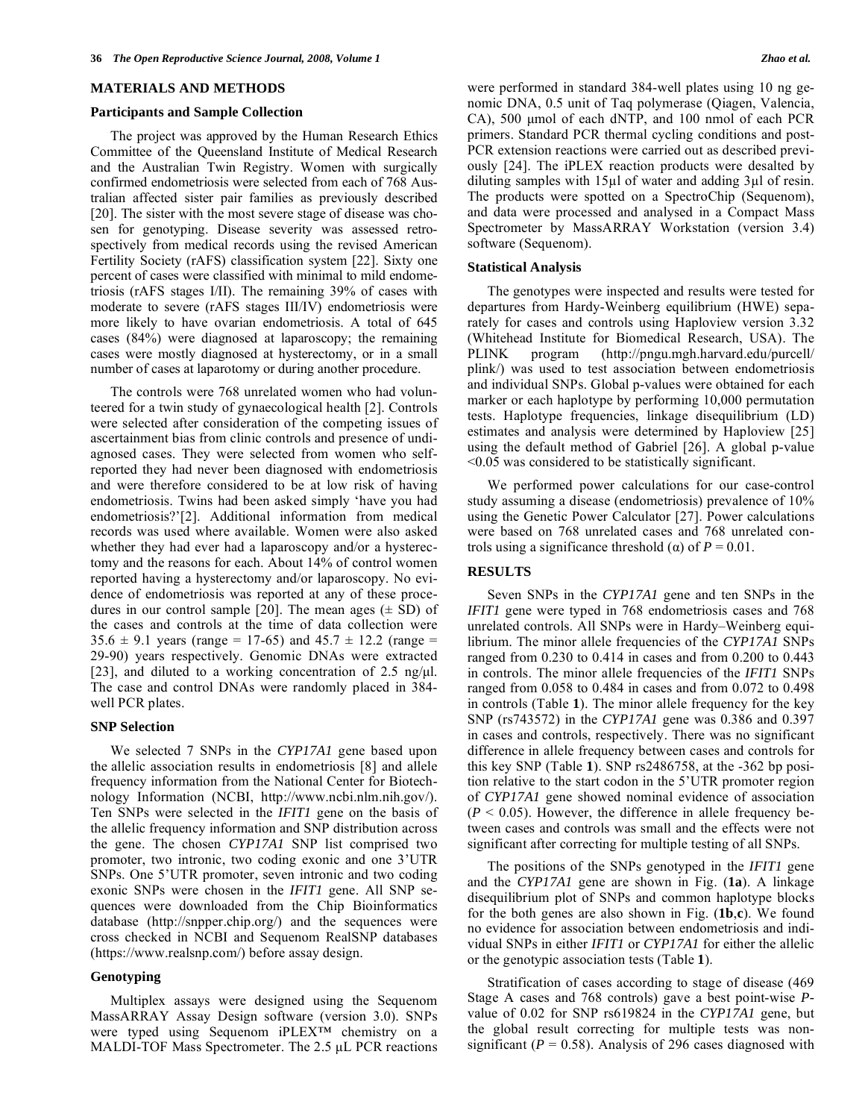### **MATERIALS AND METHODS**

#### **Participants and Sample Collection**

 The project was approved by the Human Research Ethics Committee of the Queensland Institute of Medical Research and the Australian Twin Registry. Women with surgically confirmed endometriosis were selected from each of 768 Australian affected sister pair families as previously described [20]. The sister with the most severe stage of disease was chosen for genotyping. Disease severity was assessed retrospectively from medical records using the revised American Fertility Society (rAFS) classification system [22]. Sixty one percent of cases were classified with minimal to mild endometriosis (rAFS stages I/II). The remaining 39% of cases with moderate to severe (rAFS stages III/IV) endometriosis were more likely to have ovarian endometriosis. A total of 645 cases (84%) were diagnosed at laparoscopy; the remaining cases were mostly diagnosed at hysterectomy, or in a small number of cases at laparotomy or during another procedure.

 The controls were 768 unrelated women who had volunteered for a twin study of gynaecological health [2]. Controls were selected after consideration of the competing issues of ascertainment bias from clinic controls and presence of undiagnosed cases. They were selected from women who selfreported they had never been diagnosed with endometriosis and were therefore considered to be at low risk of having endometriosis. Twins had been asked simply 'have you had endometriosis?'[2]. Additional information from medical records was used where available. Women were also asked whether they had ever had a laparoscopy and/or a hysterectomy and the reasons for each. About 14% of control women reported having a hysterectomy and/or laparoscopy. No evidence of endometriosis was reported at any of these procedures in our control sample [20]. The mean ages  $(\pm SD)$  of the cases and controls at the time of data collection were  $35.6 \pm 9.1$  years (range = 17-65) and  $45.7 \pm 12.2$  (range = 29-90) years respectively. Genomic DNAs were extracted [23], and diluted to a working concentration of 2.5 ng/ $\mu$ l. The case and control DNAs were randomly placed in 384 well PCR plates.

#### **SNP Selection**

 We selected 7 SNPs in the *CYP17A1* gene based upon the allelic association results in endometriosis [8] and allele frequency information from the National Center for Biotechnology Information (NCBI, http://www.ncbi.nlm.nih.gov/). Ten SNPs were selected in the *IFIT1* gene on the basis of the allelic frequency information and SNP distribution across the gene. The chosen *CYP17A1* SNP list comprised two promoter, two intronic, two coding exonic and one 3'UTR SNPs. One 5'UTR promoter, seven intronic and two coding exonic SNPs were chosen in the *IFIT1* gene. All SNP sequences were downloaded from the Chip Bioinformatics database (http://snpper.chip.org/) and the sequences were cross checked in NCBI and Sequenom RealSNP databases (https://www.realsnp.com/) before assay design.

# **Genotyping**

 Multiplex assays were designed using the Sequenom MassARRAY Assay Design software (version 3.0). SNPs were typed using Sequenom iPLEX™ chemistry on a MALDI-TOF Mass Spectrometer. The 2.5 μL PCR reactions

were performed in standard 384-well plates using 10 ng genomic DNA, 0.5 unit of Taq polymerase (Qiagen, Valencia, CA), 500 μmol of each dNTP, and 100 nmol of each PCR primers. Standard PCR thermal cycling conditions and post-PCR extension reactions were carried out as described previously [24]. The iPLEX reaction products were desalted by diluting samples with  $15\mu$ l of water and adding 3 $\mu$ l of resin. The products were spotted on a SpectroChip (Sequenom), and data were processed and analysed in a Compact Mass Spectrometer by MassARRAY Workstation (version 3.4) software (Sequenom).

#### **Statistical Analysis**

 The genotypes were inspected and results were tested for departures from Hardy-Weinberg equilibrium (HWE) separately for cases and controls using Haploview version 3.32 (Whitehead Institute for Biomedical Research, USA). The PLINK program (http://pngu.mgh.harvard.edu/purcell/ plink/) was used to test association between endometriosis and individual SNPs. Global p-values were obtained for each marker or each haplotype by performing 10,000 permutation tests. Haplotype frequencies, linkage disequilibrium (LD) estimates and analysis were determined by Haploview [25] using the default method of Gabriel [26]. A global p-value <0.05 was considered to be statistically significant.

 We performed power calculations for our case-control study assuming a disease (endometriosis) prevalence of 10% using the Genetic Power Calculator [27]. Power calculations were based on 768 unrelated cases and 768 unrelated controls using a significance threshold ( $\alpha$ ) of  $P = 0.01$ .

### **RESULTS**

 Seven SNPs in the *CYP17A1* gene and ten SNPs in the *IFIT1* gene were typed in 768 endometriosis cases and 768 unrelated controls. All SNPs were in Hardy–Weinberg equilibrium. The minor allele frequencies of the *CYP17A1* SNPs ranged from 0.230 to 0.414 in cases and from 0.200 to 0.443 in controls. The minor allele frequencies of the *IFIT1* SNPs ranged from 0.058 to 0.484 in cases and from 0.072 to 0.498 in controls (Table **1**). The minor allele frequency for the key SNP (rs743572) in the *CYP17A1* gene was 0.386 and 0.397 in cases and controls, respectively. There was no significant difference in allele frequency between cases and controls for this key SNP (Table **1**). SNP rs2486758, at the -362 bp position relative to the start codon in the 5'UTR promoter region of *CYP17A1* gene showed nominal evidence of association  $(P < 0.05)$ . However, the difference in allele frequency between cases and controls was small and the effects were not significant after correcting for multiple testing of all SNPs.

 The positions of the SNPs genotyped in the *IFIT1* gene and the *CYP17A1* gene are shown in Fig. (**1a**). A linkage disequilibrium plot of SNPs and common haplotype blocks for the both genes are also shown in Fig. (**1b**,**c**). We found no evidence for association between endometriosis and individual SNPs in either *IFIT1* or *CYP17A1* for either the allelic or the genotypic association tests (Table **1**).

 Stratification of cases according to stage of disease (469 Stage A cases and 768 controls) gave a best point-wise *P*value of 0.02 for SNP rs619824 in the *CYP17A1* gene, but the global result correcting for multiple tests was nonsignificant ( $P = 0.58$ ). Analysis of 296 cases diagnosed with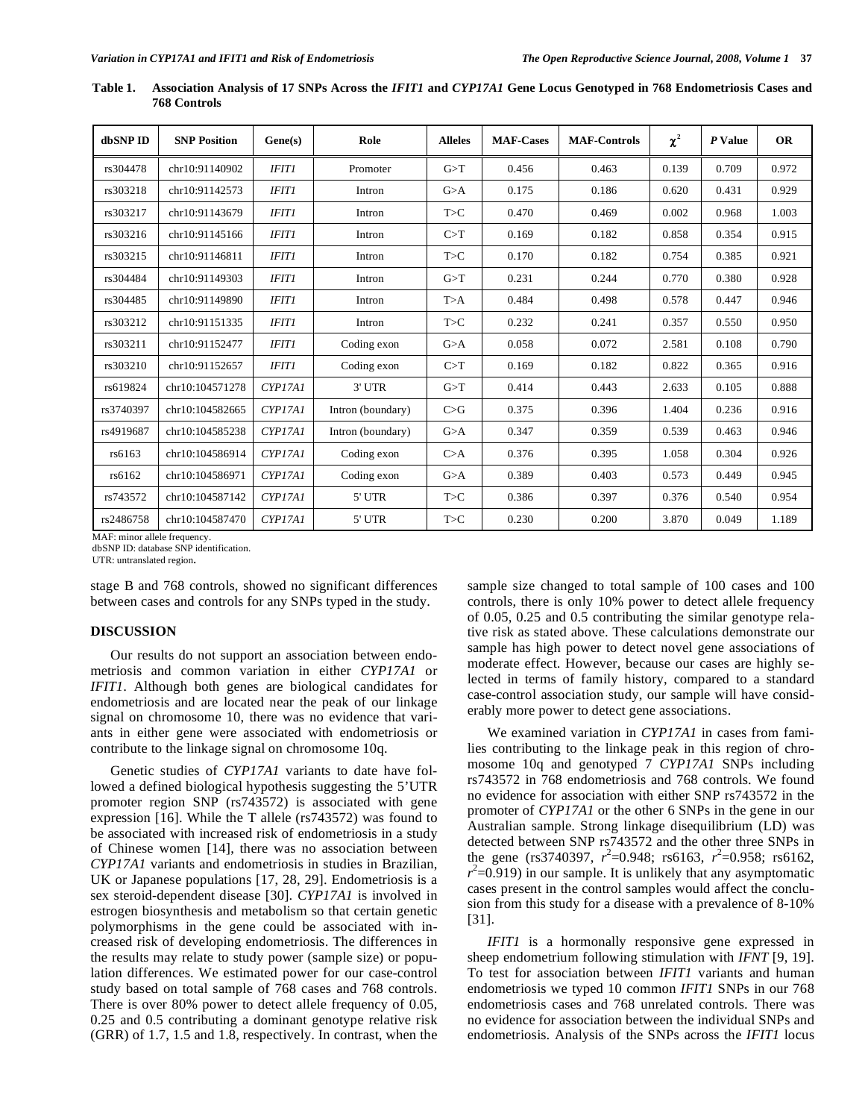| dbSNP ID  | <b>SNP Position</b> | Gene(s)      | Role              | <b>Alleles</b> | <b>MAF-Cases</b> | <b>MAF-Controls</b> | $\chi^2$ | P Value | <b>OR</b> |
|-----------|---------------------|--------------|-------------------|----------------|------------------|---------------------|----------|---------|-----------|
| rs304478  | chr10:91140902      | <b>IFIT1</b> | Promoter          | G>T            | 0.456            | 0.463               | 0.139    | 0.709   | 0.972     |
| rs303218  | chr10:91142573      | <b>IFIT1</b> | Intron            | G>A            | 0.175            | 0.186               | 0.620    | 0.431   | 0.929     |
| rs303217  | chr10:91143679      | <b>IFIT1</b> | Intron            | T>C            | 0.470            | 0.469               | 0.002    | 0.968   | 1.003     |
| rs303216  | chr10:91145166      | <b>IFIT1</b> | Intron            | C>T            | 0.169            | 0.182               | 0.858    | 0.354   | 0.915     |
| rs303215  | chr10:91146811      | <b>IFIT1</b> | Intron            | T>C            | 0.170            | 0.182               | 0.754    | 0.385   | 0.921     |
| rs304484  | chr10:91149303      | <b>IFIT1</b> | Intron            | G>T            | 0.231            | 0.244               | 0.770    | 0.380   | 0.928     |
| rs304485  | chr10:91149890      | <b>IFIT1</b> | Intron            | T>A            | 0.484            | 0.498               | 0.578    | 0.447   | 0.946     |
| rs303212  | chr10:91151335      | <b>IFIT1</b> | Intron            | T>C            | 0.232            | 0.241               | 0.357    | 0.550   | 0.950     |
| rs303211  | chr10:91152477      | <b>IFIT1</b> | Coding exon       | G>A            | 0.058            | 0.072               | 2.581    | 0.108   | 0.790     |
| rs303210  | chr10:91152657      | <b>IFIT1</b> | Coding exon       | C>T            | 0.169            | 0.182               | 0.822    | 0.365   | 0.916     |
| rs619824  | chr10:104571278     | CYP17A1      | 3' UTR            | G>T            | 0.414            | 0.443               | 2.633    | 0.105   | 0.888     |
| rs3740397 | chr10:104582665     | CYP17AI      | Intron (boundary) | C>G            | 0.375            | 0.396               | 1.404    | 0.236   | 0.916     |
| rs4919687 | chr10:104585238     | CYP17A1      | Intron (boundary) | G>A            | 0.347            | 0.359               | 0.539    | 0.463   | 0.946     |
| rs6163    | chr10:104586914     | CYP17AI      | Coding exon       | C>A            | 0.376            | 0.395               | 1.058    | 0.304   | 0.926     |
| rs6162    | chr10:104586971     | CYP17A1      | Coding exon       | G>A            | 0.389            | 0.403               | 0.573    | 0.449   | 0.945     |
| rs743572  | chr10:104587142     | CYP17AI      | 5' UTR            | T>C            | 0.386            | 0.397               | 0.376    | 0.540   | 0.954     |
| rs2486758 | chr10:104587470     | CYP17A1      | 5' UTR            | T>C            | 0.230            | 0.200               | 3.870    | 0.049   | 1.189     |

**Table 1. Association Analysis of 17 SNPs Across the** *IFIT1* **and** *CYP17A1* **Gene Locus Genotyped in 768 Endometriosis Cases and 768 Controls** 

MAF: minor allele frequency.

dbSNP ID: database SNP identification.

UTR: untranslated region**.**

stage B and 768 controls, showed no significant differences between cases and controls for any SNPs typed in the study.

## **DISCUSSION**

 Our results do not support an association between endometriosis and common variation in either *CYP17A1* or *IFIT1*. Although both genes are biological candidates for endometriosis and are located near the peak of our linkage signal on chromosome 10, there was no evidence that variants in either gene were associated with endometriosis or contribute to the linkage signal on chromosome 10q.

 Genetic studies of *CYP17A1* variants to date have followed a defined biological hypothesis suggesting the 5'UTR promoter region SNP (rs743572) is associated with gene expression [16]. While the T allele (rs743572) was found to be associated with increased risk of endometriosis in a study of Chinese women [14], there was no association between *CYP17A1* variants and endometriosis in studies in Brazilian, UK or Japanese populations [17, 28, 29]. Endometriosis is a sex steroid-dependent disease [30]. *CYP17A1* is involved in estrogen biosynthesis and metabolism so that certain genetic polymorphisms in the gene could be associated with increased risk of developing endometriosis. The differences in the results may relate to study power (sample size) or population differences. We estimated power for our case-control study based on total sample of 768 cases and 768 controls. There is over 80% power to detect allele frequency of 0.05, 0.25 and 0.5 contributing a dominant genotype relative risk (GRR) of 1.7, 1.5 and 1.8, respectively. In contrast, when the

sample size changed to total sample of 100 cases and 100 controls, there is only 10% power to detect allele frequency of 0.05, 0.25 and 0.5 contributing the similar genotype relative risk as stated above. These calculations demonstrate our sample has high power to detect novel gene associations of moderate effect. However, because our cases are highly selected in terms of family history, compared to a standard case-control association study, our sample will have considerably more power to detect gene associations.

 We examined variation in *CYP17A1* in cases from families contributing to the linkage peak in this region of chromosome 10q and genotyped 7 *CYP17A1* SNPs including rs743572 in 768 endometriosis and 768 controls. We found no evidence for association with either SNP rs743572 in the promoter of *CYP17A1* or the other 6 SNPs in the gene in our Australian sample. Strong linkage disequilibrium (LD) was detected between SNP rs743572 and the other three SNPs in the gene (rs3740397,  $r^2$ =0.948; rs6163,  $r^2$ =0.958; rs6162,  $r^2$ =0.919) in our sample. It is unlikely that any asymptomatic cases present in the control samples would affect the conclusion from this study for a disease with a prevalence of 8-10% [31].

*IFIT1* is a hormonally responsive gene expressed in sheep endometrium following stimulation with *IFNT* [9, 19]. To test for association between *IFIT1* variants and human endometriosis we typed 10 common *IFIT1* SNPs in our 768 endometriosis cases and 768 unrelated controls. There was no evidence for association between the individual SNPs and endometriosis. Analysis of the SNPs across the *IFIT1* locus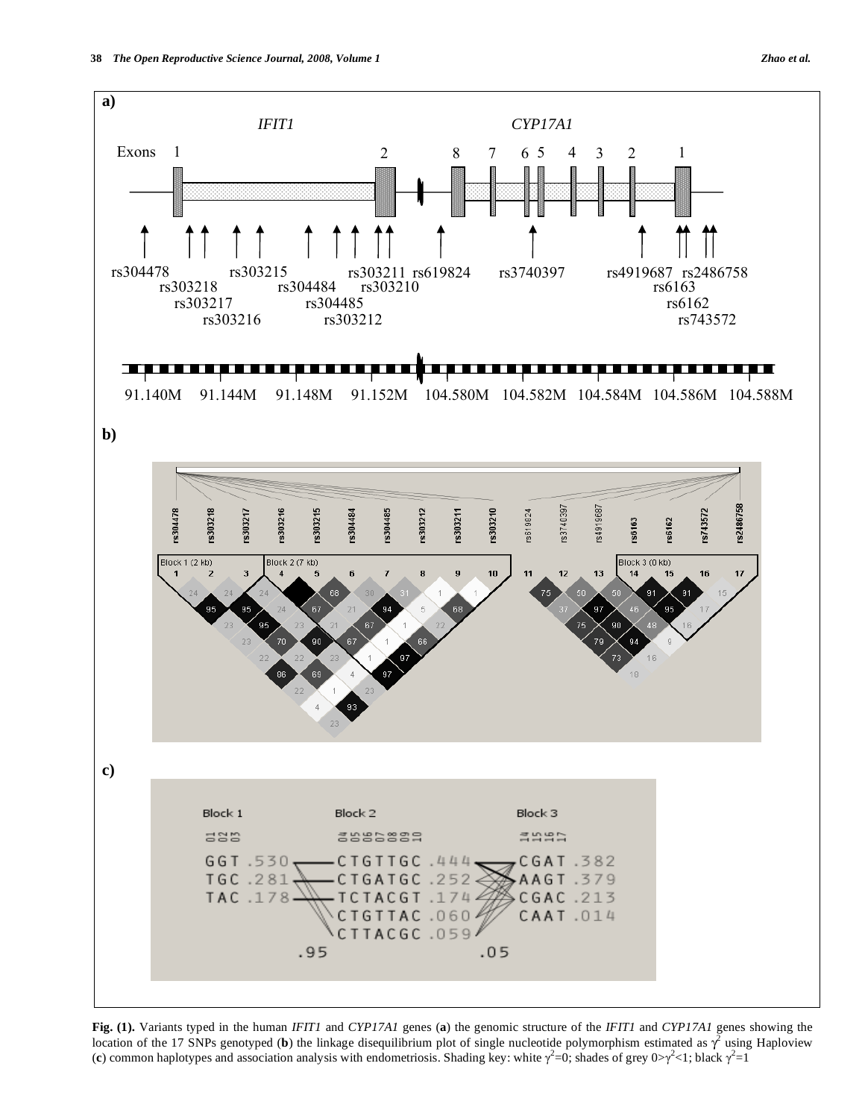

**Fig. (1).** Variants typed in the human *IFIT1* and *CYP17A1* genes (**a**) the genomic structure of the *IFIT1* and *CYP17A1* genes showing the location of the 17 SNPs genotyped (b) the linkage disequilibrium plot of single nucleotide polymorphism estimated as  $\gamma^2$  using Haploview (c) common haplotypes and association analysis with endometriosis. Shading key: white  $\gamma^2=0$ ; shades of grey  $0>\gamma^2<1$ ; black  $\gamma^2=1$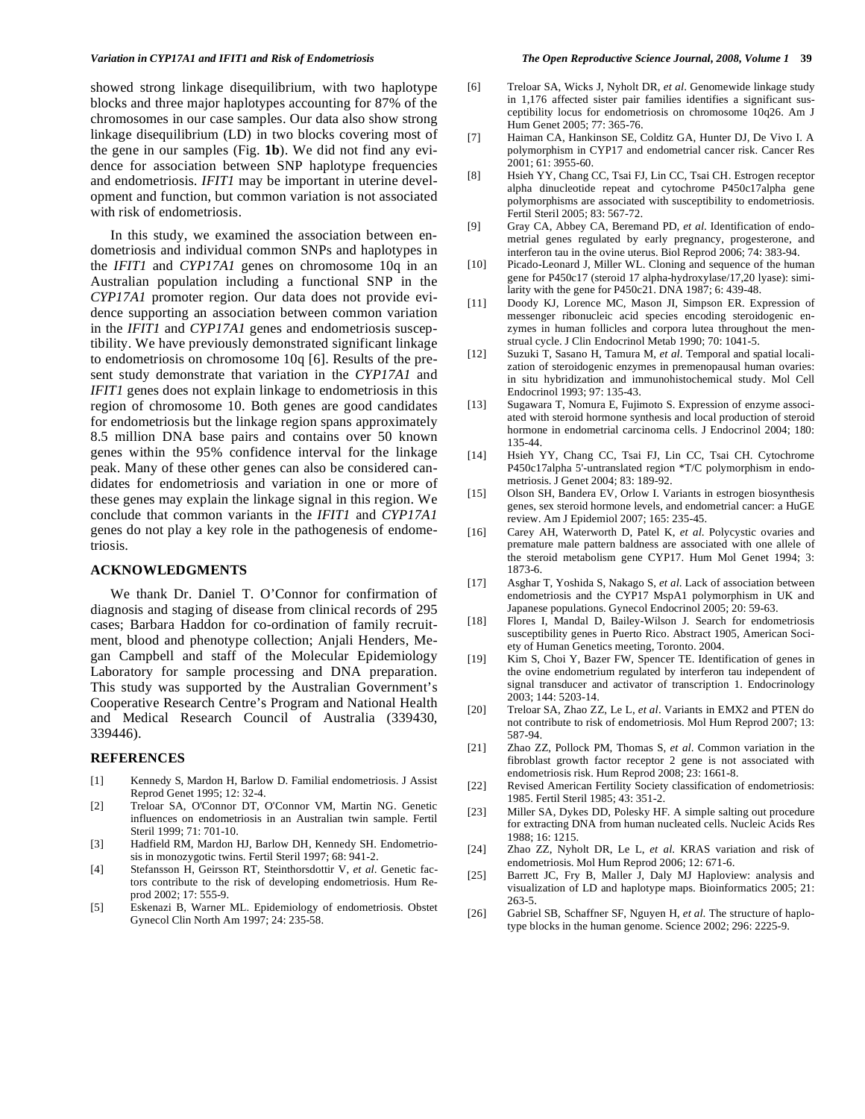showed strong linkage disequilibrium, with two haplotype blocks and three major haplotypes accounting for 87% of the chromosomes in our case samples. Our data also show strong linkage disequilibrium (LD) in two blocks covering most of the gene in our samples (Fig. **1b**). We did not find any evidence for association between SNP haplotype frequencies and endometriosis. *IFIT1* may be important in uterine development and function, but common variation is not associated with risk of endometriosis.

 In this study, we examined the association between endometriosis and individual common SNPs and haplotypes in the *IFIT1* and *CYP17A1* genes on chromosome 10q in an Australian population including a functional SNP in the *CYP17A1* promoter region. Our data does not provide evidence supporting an association between common variation in the *IFIT1* and *CYP17A1* genes and endometriosis susceptibility. We have previously demonstrated significant linkage to endometriosis on chromosome 10q [6]. Results of the present study demonstrate that variation in the *CYP17A1* and *IFIT1* genes does not explain linkage to endometriosis in this region of chromosome 10. Both genes are good candidates for endometriosis but the linkage region spans approximately 8.5 million DNA base pairs and contains over 50 known genes within the 95% confidence interval for the linkage peak. Many of these other genes can also be considered candidates for endometriosis and variation in one or more of these genes may explain the linkage signal in this region. We conclude that common variants in the *IFIT1* and *CYP17A1*  genes do not play a key role in the pathogenesis of endometriosis.

# **ACKNOWLEDGMENTS**

 We thank Dr. Daniel T. O'Connor for confirmation of diagnosis and staging of disease from clinical records of 295 cases; Barbara Haddon for co-ordination of family recruitment, blood and phenotype collection; Anjali Henders, Megan Campbell and staff of the Molecular Epidemiology Laboratory for sample processing and DNA preparation. This study was supported by the Australian Government's Cooperative Research Centre's Program and National Health and Medical Research Council of Australia (339430, 339446).

# **REFERENCES**

- [1] Kennedy S, Mardon H, Barlow D. Familial endometriosis. J Assist Reprod Genet 1995; 12: 32-4.
- [2] Treloar SA, O'Connor DT, O'Connor VM, Martin NG. Genetic influences on endometriosis in an Australian twin sample. Fertil Steril 1999; 71: 701-10.
- [3] Hadfield RM, Mardon HJ, Barlow DH, Kennedy SH. Endometriosis in monozygotic twins. Fertil Steril 1997; 68: 941-2.
- [4] Stefansson H, Geirsson RT, Steinthorsdottir V, *et al*. Genetic factors contribute to the risk of developing endometriosis. Hum Reprod 2002; 17: 555-9.
- [5] Eskenazi B, Warner ML. Epidemiology of endometriosis. Obstet Gynecol Clin North Am 1997; 24: 235-58.
- [6] Treloar SA, Wicks J, Nyholt DR, *et al*. Genomewide linkage study in 1,176 affected sister pair families identifies a significant susceptibility locus for endometriosis on chromosome 10q26. Am J Hum Genet 2005; 77: 365-76.
- [7] Haiman CA, Hankinson SE, Colditz GA, Hunter DJ, De Vivo I. A polymorphism in CYP17 and endometrial cancer risk. Cancer Res 2001; 61: 3955-60.
- [8] Hsieh YY, Chang CC, Tsai FJ, Lin CC, Tsai CH. Estrogen receptor alpha dinucleotide repeat and cytochrome P450c17alpha gene polymorphisms are associated with susceptibility to endometriosis. Fertil Steril 2005; 83: 567-72.
- [9] Gray CA, Abbey CA, Beremand PD, *et al*. Identification of endometrial genes regulated by early pregnancy, progesterone, and interferon tau in the ovine uterus. Biol Reprod 2006; 74: 383-94.
- [10] Picado-Leonard J, Miller WL. Cloning and sequence of the human gene for P450c17 (steroid 17 alpha-hydroxylase/17,20 lyase): similarity with the gene for P450c21. DNA 1987; 6: 439-48.
- [11] Doody KJ, Lorence MC, Mason JI, Simpson ER. Expression of messenger ribonucleic acid species encoding steroidogenic enzymes in human follicles and corpora lutea throughout the menstrual cycle. J Clin Endocrinol Metab 1990; 70: 1041-5.
- [12] Suzuki T, Sasano H, Tamura M, *et al*. Temporal and spatial localization of steroidogenic enzymes in premenopausal human ovaries: in situ hybridization and immunohistochemical study. Mol Cell Endocrinol 1993; 97: 135-43.
- [13] Sugawara T, Nomura E, Fujimoto S. Expression of enzyme associated with steroid hormone synthesis and local production of steroid hormone in endometrial carcinoma cells. J Endocrinol 2004; 180: 135-44.
- [14] Hsieh YY, Chang CC, Tsai FJ, Lin CC, Tsai CH. Cytochrome P450c17alpha 5'-untranslated region \*T/C polymorphism in endometriosis. J Genet 2004; 83: 189-92.
- [15] Olson SH, Bandera EV, Orlow I. Variants in estrogen biosynthesis genes, sex steroid hormone levels, and endometrial cancer: a HuGE review. Am J Epidemiol 2007; 165: 235-45.
- [16] Carey AH, Waterworth D, Patel K, *et al*. Polycystic ovaries and premature male pattern baldness are associated with one allele of the steroid metabolism gene CYP17. Hum Mol Genet 1994; 3: 1873-6.
- [17] Asghar T, Yoshida S, Nakago S, *et al*. Lack of association between endometriosis and the CYP17 MspA1 polymorphism in UK and Japanese populations. Gynecol Endocrinol 2005; 20: 59-63.
- [18] Flores I, Mandal D, Bailey-Wilson J. Search for endometriosis susceptibility genes in Puerto Rico. Abstract 1905, American Society of Human Genetics meeting, Toronto. 2004.
- [19] Kim S, Choi Y, Bazer FW, Spencer TE. Identification of genes in the ovine endometrium regulated by interferon tau independent of signal transducer and activator of transcription 1. Endocrinology 2003; 144: 5203-14.
- [20] Treloar SA, Zhao ZZ, Le L, *et al*. Variants in EMX2 and PTEN do not contribute to risk of endometriosis. Mol Hum Reprod 2007; 13: 587-94.
- [21] Zhao ZZ, Pollock PM, Thomas S, *et al*. Common variation in the fibroblast growth factor receptor 2 gene is not associated with endometriosis risk. Hum Reprod 2008; 23: 1661-8.
- [22] Revised American Fertility Society classification of endometriosis: 1985. Fertil Steril 1985; 43: 351-2.
- [23] Miller SA, Dykes DD, Polesky HF. A simple salting out procedure for extracting DNA from human nucleated cells. Nucleic Acids Res 1988; 16: 1215.
- [24] Zhao ZZ, Nyholt DR, Le L, *et al*. KRAS variation and risk of endometriosis. Mol Hum Reprod 2006; 12: 671-6.
- [25] Barrett JC, Fry B, Maller J, Daly MJ Haploview: analysis and visualization of LD and haplotype maps. Bioinformatics 2005; 21: 263-5.
- [26] Gabriel SB, Schaffner SF, Nguyen H, *et al*. The structure of haplotype blocks in the human genome. Science 2002; 296: 2225-9.